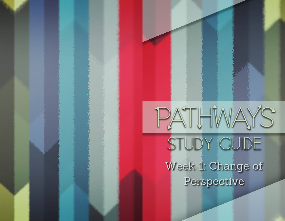## PATHWAYS STUDY CUIDE Week 1: Change of Perspective